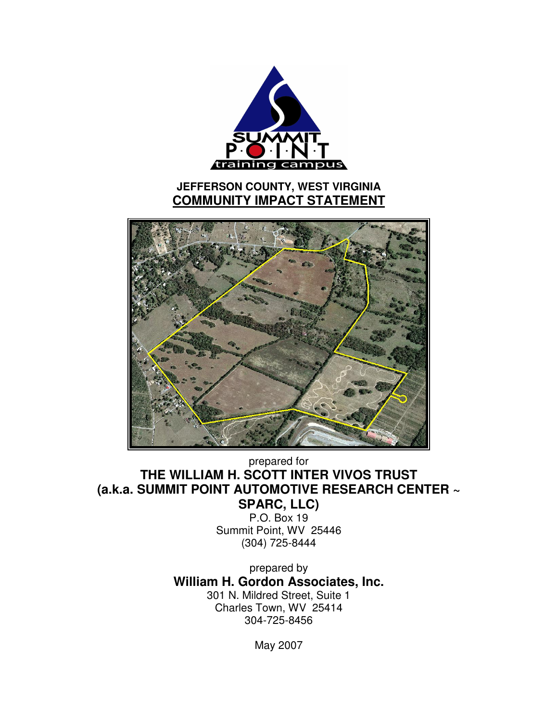

prepared for **THE WILLIAM H. SCOTT INTER VIVOS TRUST (a.k.a. SUMMIT POINT AUTOMOTIVE RESEARCH CENTER ~ SPARC, LLC)**

P.O. Box 19 Summit Point, WV 25446 (304) 725-8444

prepared by **William H. Gordon Associates, Inc.** 301 N. Mildred Street, Suite 1 Charles Town, WV 25414 304-725-8456

May 2007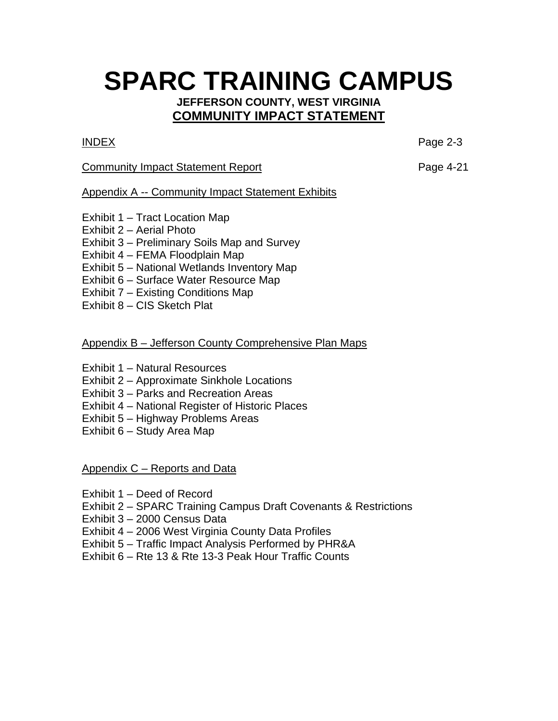# **SPARC TRAINING CAMPUS**

# **JEFFERSON COUNTY, WEST VIRGINIA COMMUNITY IMPACT STATEMENT**

INDEX Page 2-3

# Community Impact Statement Report **Page 4-21**

# Appendix A -- Community Impact Statement Exhibits

- Exhibit 1 Tract Location Map
- Exhibit 2 Aerial Photo
- Exhibit 3 Preliminary Soils Map and Survey
- Exhibit 4 FEMA Floodplain Map
- Exhibit 5 National Wetlands Inventory Map
- Exhibit 6 Surface Water Resource Map
- Exhibit 7 Existing Conditions Map
- Exhibit 8 CIS Sketch Plat

# Appendix B – Jefferson County Comprehensive Plan Maps

- Exhibit 1 Natural Resources
- Exhibit 2 Approximate Sinkhole Locations
- Exhibit 3 Parks and Recreation Areas
- Exhibit 4 National Register of Historic Places
- Exhibit 5 Highway Problems Areas
- Exhibit 6 Study Area Map

Appendix C – Reports and Data

- Exhibit 1 Deed of Record
- Exhibit 2 SPARC Training Campus Draft Covenants & Restrictions
- Exhibit 3 2000 Census Data
- Exhibit 4 2006 West Virginia County Data Profiles
- Exhibit 5 Traffic Impact Analysis Performed by PHR&A
- Exhibit 6 Rte 13 & Rte 13-3 Peak Hour Traffic Counts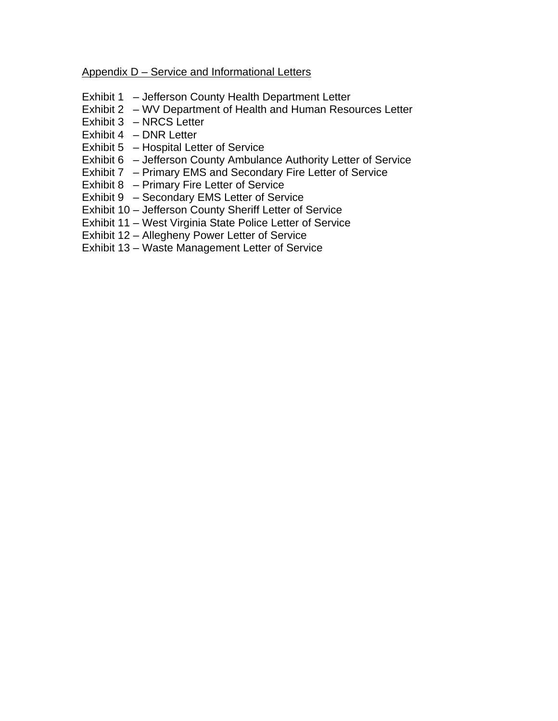## Appendix D – Service and Informational Letters

- Exhibit 1 Jefferson County Health Department Letter
- Exhibit 2 WV Department of Health and Human Resources Letter
- Exhibit 3 NRCS Letter
- Exhibit 4 DNR Letter
- Exhibit 5 Hospital Letter of Service
- Exhibit 6 Jefferson County Ambulance Authority Letter of Service
- Exhibit 7 Primary EMS and Secondary Fire Letter of Service
- Exhibit 8 Primary Fire Letter of Service
- Exhibit 9 Secondary EMS Letter of Service
- Exhibit 10 Jefferson County Sheriff Letter of Service
- Exhibit 11 West Virginia State Police Letter of Service
- Exhibit 12 Allegheny Power Letter of Service
- Exhibit 13 Waste Management Letter of Service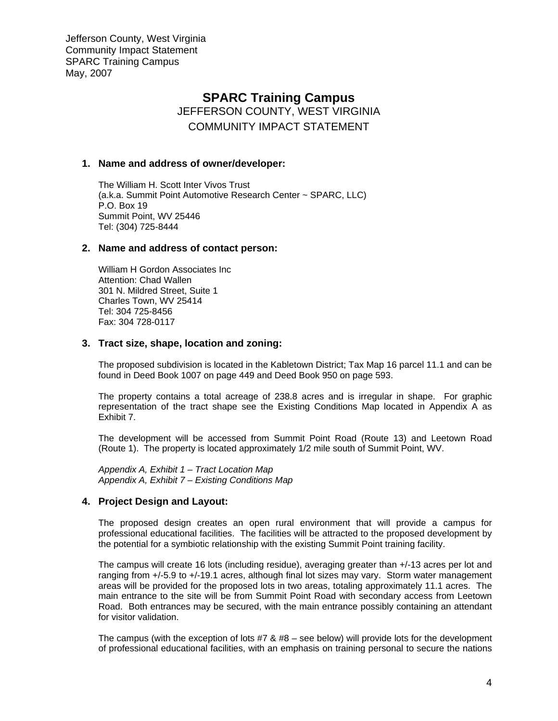# **SPARC Training Campus**

JEFFERSON COUNTY, WEST VIRGINIA COMMUNITY IMPACT STATEMENT

#### **1. Name and address of owner/developer:**

The William H. Scott Inter Vivos Trust (a.k.a. Summit Point Automotive Research Center ~ SPARC, LLC) P.O. Box 19 Summit Point, WV 25446 Tel: (304) 725-8444

#### **2. Name and address of contact person:**

William H Gordon Associates Inc Attention: Chad Wallen 301 N. Mildred Street, Suite 1 Charles Town, WV 25414 Tel: 304 725-8456 Fax: 304 728-0117

#### **3. Tract size, shape, location and zoning:**

The proposed subdivision is located in the Kabletown District; Tax Map 16 parcel 11.1 and can be found in Deed Book 1007 on page 449 and Deed Book 950 on page 593.

The property contains a total acreage of 238.8 acres and is irregular in shape. For graphic representation of the tract shape see the Existing Conditions Map located in Appendix A as Exhibit 7.

The development will be accessed from Summit Point Road (Route 13) and Leetown Road (Route 1). The property is located approximately 1/2 mile south of Summit Point, WV.

*Appendix A, Exhibit 1 – Tract Location Map Appendix A, Exhibit 7 – Existing Conditions Map* 

### **4. Project Design and Layout:**

The proposed design creates an open rural environment that will provide a campus for professional educational facilities. The facilities will be attracted to the proposed development by the potential for a symbiotic relationship with the existing Summit Point training facility.

The campus will create 16 lots (including residue), averaging greater than +/-13 acres per lot and ranging from +/-5.9 to +/-19.1 acres, although final lot sizes may vary. Storm water management areas will be provided for the proposed lots in two areas, totaling approximately 11.1 acres. The main entrance to the site will be from Summit Point Road with secondary access from Leetown Road. Both entrances may be secured, with the main entrance possibly containing an attendant for visitor validation.

The campus (with the exception of lots  $#7 \& #8 -$  see below) will provide lots for the development of professional educational facilities, with an emphasis on training personal to secure the nations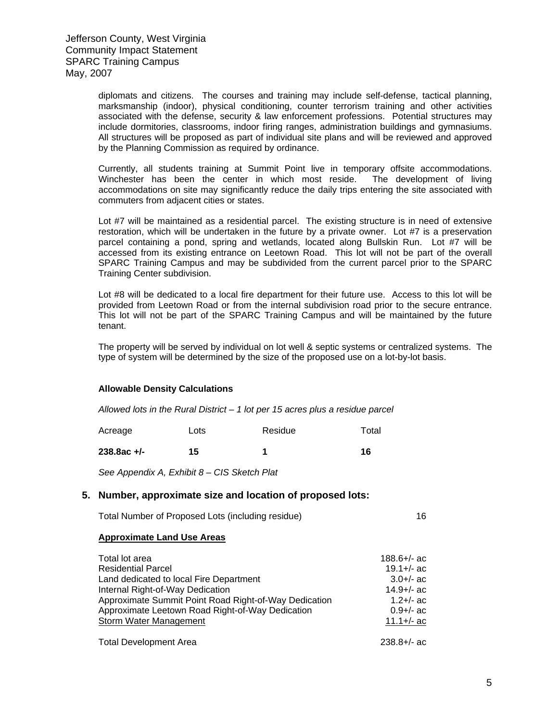diplomats and citizens. The courses and training may include self-defense, tactical planning, marksmanship (indoor), physical conditioning, counter terrorism training and other activities associated with the defense, security & law enforcement professions. Potential structures may include dormitories, classrooms, indoor firing ranges, administration buildings and gymnasiums. All structures will be proposed as part of individual site plans and will be reviewed and approved by the Planning Commission as required by ordinance.

Currently, all students training at Summit Point live in temporary offsite accommodations. Winchester has been the center in which most reside. The development of living accommodations on site may significantly reduce the daily trips entering the site associated with commuters from adjacent cities or states.

Lot #7 will be maintained as a residential parcel. The existing structure is in need of extensive restoration, which will be undertaken in the future by a private owner. Lot #7 is a preservation parcel containing a pond, spring and wetlands, located along Bullskin Run. Lot #7 will be accessed from its existing entrance on Leetown Road. This lot will not be part of the overall SPARC Training Campus and may be subdivided from the current parcel prior to the SPARC Training Center subdivision.

Lot #8 will be dedicated to a local fire department for their future use. Access to this lot will be provided from Leetown Road or from the internal subdivision road prior to the secure entrance. This lot will not be part of the SPARC Training Campus and will be maintained by the future tenant.

The property will be served by individual on lot well & septic systems or centralized systems. The type of system will be determined by the size of the proposed use on a lot-by-lot basis.

#### **Allowable Density Calculations**

*Allowed lots in the Rural District – 1 lot per 15 acres plus a residue parcel* 

| Acreage | Lots | Residue | Total |
|---------|------|---------|-------|
|         |      |         |       |

238.8ac +/- 15 1 16

*See Appendix A, Exhibit 8 – CIS Sketch Plat* 

#### **5. Number, approximate size and location of proposed lots:**

Total Number of Proposed Lots (including residue) 16

#### **Approximate Land Use Areas**

| Total lot area                                        | $188.6 +/-$ ac              |
|-------------------------------------------------------|-----------------------------|
| <b>Residential Parcel</b>                             | $19.1 +/-$ ac               |
| Land dedicated to local Fire Department               | $3.0 +/-$ ac                |
| Internal Right-of-Way Dedication                      | $14.9 +/-$ ac               |
| Approximate Summit Point Road Right-of-Way Dedication | $1.2 + / -$ ac              |
| Approximate Leetown Road Right-of-Way Dedication      | $0.9 +/-$ ac                |
| <b>Storm Water Management</b>                         | $11.1 +/-$ ac               |
|                                                       | $\sim$ $\sim$ $\sim$ $\sim$ |

Total Development Area 238.8+/- ac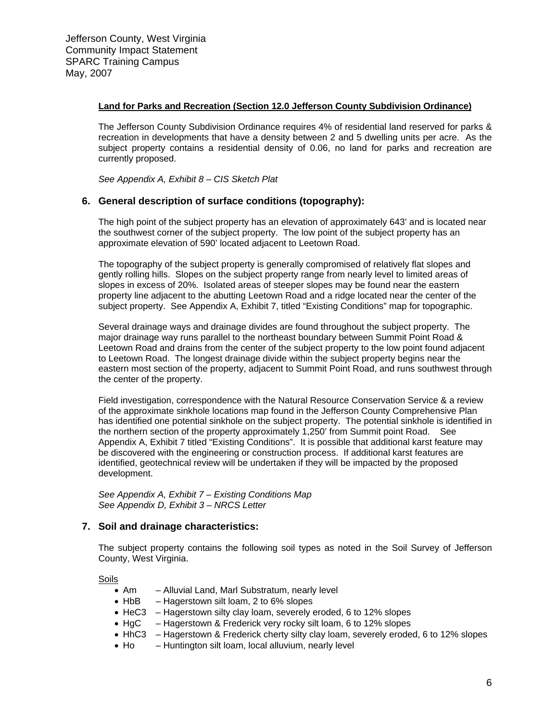#### **Land for Parks and Recreation (Section 12.0 Jefferson County Subdivision Ordinance)**

The Jefferson County Subdivision Ordinance requires 4% of residential land reserved for parks & recreation in developments that have a density between 2 and 5 dwelling units per acre. As the subject property contains a residential density of 0.06, no land for parks and recreation are currently proposed.

*See Appendix A, Exhibit 8 – CIS Sketch Plat* 

#### **6. General description of surface conditions (topography):**

The high point of the subject property has an elevation of approximately 643' and is located near the southwest corner of the subject property. The low point of the subject property has an approximate elevation of 590' located adjacent to Leetown Road.

The topography of the subject property is generally compromised of relatively flat slopes and gently rolling hills. Slopes on the subject property range from nearly level to limited areas of slopes in excess of 20%. Isolated areas of steeper slopes may be found near the eastern property line adjacent to the abutting Leetown Road and a ridge located near the center of the subject property. See Appendix A, Exhibit 7, titled "Existing Conditions" map for topographic.

Several drainage ways and drainage divides are found throughout the subject property. The major drainage way runs parallel to the northeast boundary between Summit Point Road & Leetown Road and drains from the center of the subject property to the low point found adjacent to Leetown Road. The longest drainage divide within the subject property begins near the eastern most section of the property, adjacent to Summit Point Road, and runs southwest through the center of the property.

Field investigation, correspondence with the Natural Resource Conservation Service & a review of the approximate sinkhole locations map found in the Jefferson County Comprehensive Plan has identified one potential sinkhole on the subject property. The potential sinkhole is identified in the northern section of the property approximately 1,250' from Summit point Road. See Appendix A, Exhibit 7 titled "Existing Conditions". It is possible that additional karst feature may be discovered with the engineering or construction process. If additional karst features are identified, geotechnical review will be undertaken if they will be impacted by the proposed development.

*See Appendix A, Exhibit 7 – Existing Conditions Map See Appendix D, Exhibit 3 – NRCS Letter*

#### **7. Soil and drainage characteristics:**

The subject property contains the following soil types as noted in the Soil Survey of Jefferson County, West Virginia.

Soils

- Am Alluvial Land, Marl Substratum, nearly level
- HbB Hagerstown silt loam, 2 to 6% slopes
- HeC3 Hagerstown silty clay loam, severely eroded, 6 to 12% slopes
- HgC Hagerstown & Frederick very rocky silt loam, 6 to 12% slopes
- HhC3 Hagerstown & Frederick cherty silty clay loam, severely eroded, 6 to 12% slopes
- Ho Huntington silt loam, local alluvium, nearly level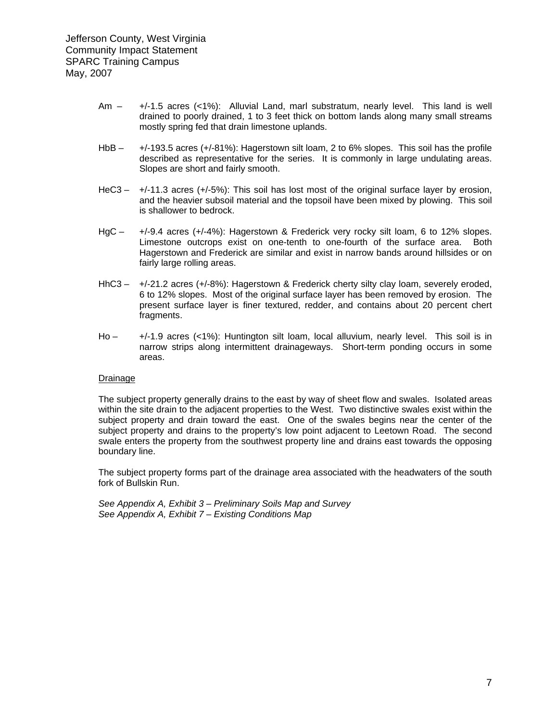- Am +/-1.5 acres (<1%): Alluvial Land, marl substratum, nearly level. This land is well drained to poorly drained, 1 to 3 feet thick on bottom lands along many small streams mostly spring fed that drain limestone uplands.
- HbB +/-193.5 acres (+/-81%): Hagerstown silt loam, 2 to 6% slopes. This soil has the profile described as representative for the series. It is commonly in large undulating areas. Slopes are short and fairly smooth.
- HeC3 +/-11.3 acres (+/-5%): This soil has lost most of the original surface layer by erosion, and the heavier subsoil material and the topsoil have been mixed by plowing. This soil is shallower to bedrock.
- HgC +/-9.4 acres (+/-4%): Hagerstown & Frederick very rocky silt loam, 6 to 12% slopes. Limestone outcrops exist on one-tenth to one-fourth of the surface area. Both Hagerstown and Frederick are similar and exist in narrow bands around hillsides or on fairly large rolling areas.
- HhC3 +/-21.2 acres (+/-8%): Hagerstown & Frederick cherty silty clay loam, severely eroded, 6 to 12% slopes. Most of the original surface layer has been removed by erosion. The present surface layer is finer textured, redder, and contains about 20 percent chert fragments.
- Ho +/-1.9 acres (<1%): Huntington silt loam, local alluvium, nearly level. This soil is in narrow strips along intermittent drainageways. Short-term ponding occurs in some areas.

#### Drainage

The subject property generally drains to the east by way of sheet flow and swales. Isolated areas within the site drain to the adjacent properties to the West. Two distinctive swales exist within the subject property and drain toward the east. One of the swales begins near the center of the subject property and drains to the property's low point adjacent to Leetown Road. The second swale enters the property from the southwest property line and drains east towards the opposing boundary line.

The subject property forms part of the drainage area associated with the headwaters of the south fork of Bullskin Run.

*See Appendix A, Exhibit 3 – Preliminary Soils Map and Survey See Appendix A, Exhibit 7 – Existing Conditions Map*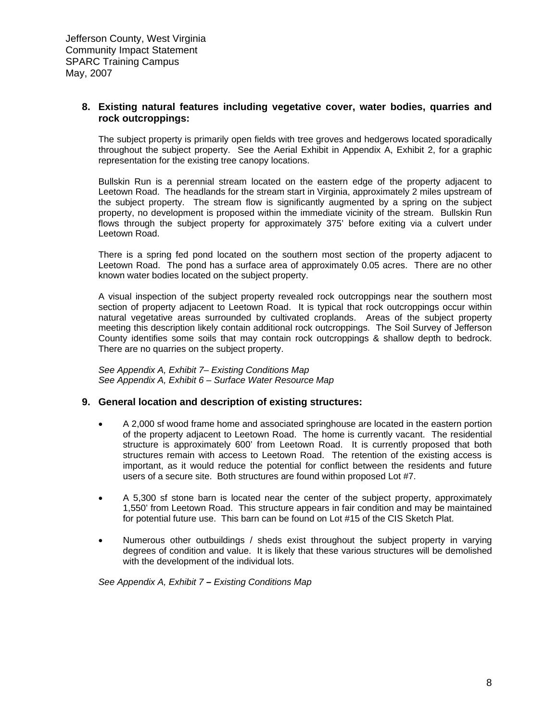#### **8. Existing natural features including vegetative cover, water bodies, quarries and rock outcroppings:**

The subject property is primarily open fields with tree groves and hedgerows located sporadically throughout the subject property. See the Aerial Exhibit in Appendix A, Exhibit 2, for a graphic representation for the existing tree canopy locations.

Bullskin Run is a perennial stream located on the eastern edge of the property adjacent to Leetown Road. The headlands for the stream start in Virginia, approximately 2 miles upstream of the subject property. The stream flow is significantly augmented by a spring on the subject property, no development is proposed within the immediate vicinity of the stream. Bullskin Run flows through the subject property for approximately 375' before exiting via a culvert under Leetown Road.

There is a spring fed pond located on the southern most section of the property adjacent to Leetown Road. The pond has a surface area of approximately 0.05 acres. There are no other known water bodies located on the subject property.

A visual inspection of the subject property revealed rock outcroppings near the southern most section of property adjacent to Leetown Road. It is typical that rock outcroppings occur within natural vegetative areas surrounded by cultivated croplands. Areas of the subject property meeting this description likely contain additional rock outcroppings. The Soil Survey of Jefferson County identifies some soils that may contain rock outcroppings & shallow depth to bedrock. There are no quarries on the subject property.

*See Appendix A, Exhibit 7– Existing Conditions Map See Appendix A, Exhibit 6 – Surface Water Resource Map*

#### **9. General location and description of existing structures:**

- A 2,000 sf wood frame home and associated springhouse are located in the eastern portion of the property adjacent to Leetown Road. The home is currently vacant. The residential structure is approximately 600' from Leetown Road. It is currently proposed that both structures remain with access to Leetown Road. The retention of the existing access is important, as it would reduce the potential for conflict between the residents and future users of a secure site. Both structures are found within proposed Lot #7.
- A 5,300 sf stone barn is located near the center of the subject property, approximately 1,550' from Leetown Road. This structure appears in fair condition and may be maintained for potential future use. This barn can be found on Lot #15 of the CIS Sketch Plat.
- Numerous other outbuildings / sheds exist throughout the subject property in varying degrees of condition and value. It is likely that these various structures will be demolished with the development of the individual lots.

*See Appendix A, Exhibit 7 – Existing Conditions Map*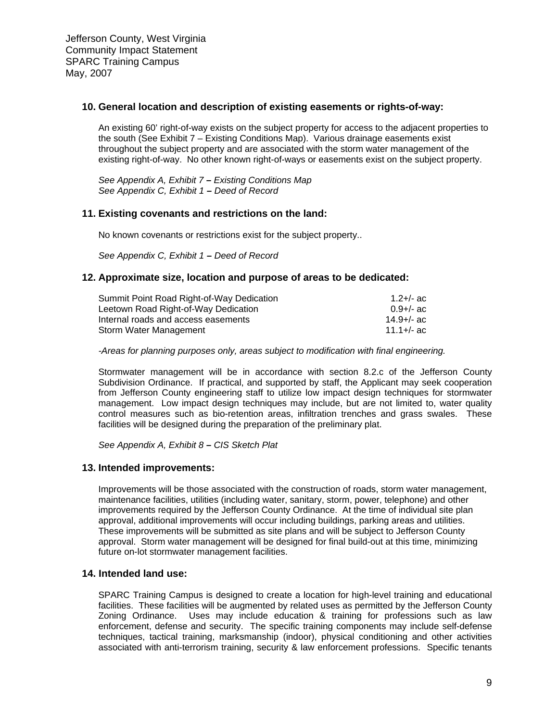#### **10. General location and description of existing easements or rights-of-way:**

An existing 60' right-of-way exists on the subject property for access to the adjacent properties to the south (See Exhibit 7 – Existing Conditions Map). Various drainage easements exist throughout the subject property and are associated with the storm water management of the existing right-of-way. No other known right-of-ways or easements exist on the subject property.

*See Appendix A, Exhibit 7 – Existing Conditions Map See Appendix C, Exhibit 1 – Deed of Record* 

#### **11. Existing covenants and restrictions on the land:**

No known covenants or restrictions exist for the subject property..

*See Appendix C, Exhibit 1 – Deed of Record*

#### **12. Approximate size, location and purpose of areas to be dedicated:**

| 1.2+/- ac    |
|--------------|
| $0.9 +/-$ ac |
| 14.9+/- ac   |
| 11.1+/- ac   |
|              |

*-Areas for planning purposes only, areas subject to modification with final engineering.* 

Stormwater management will be in accordance with section 8.2.c of the Jefferson County Subdivision Ordinance. If practical, and supported by staff, the Applicant may seek cooperation from Jefferson County engineering staff to utilize low impact design techniques for stormwater management. Low impact design techniques may include, but are not limited to, water quality control measures such as bio-retention areas, infiltration trenches and grass swales. These facilities will be designed during the preparation of the preliminary plat.

*See Appendix A, Exhibit 8 – CIS Sketch Plat* 

#### **13. Intended improvements:**

Improvements will be those associated with the construction of roads, storm water management, maintenance facilities, utilities (including water, sanitary, storm, power, telephone) and other improvements required by the Jefferson County Ordinance. At the time of individual site plan approval, additional improvements will occur including buildings, parking areas and utilities. These improvements will be submitted as site plans and will be subject to Jefferson County approval. Storm water management will be designed for final build-out at this time, minimizing future on-lot stormwater management facilities.

#### **14. Intended land use:**

SPARC Training Campus is designed to create a location for high-level training and educational facilities. These facilities will be augmented by related uses as permitted by the Jefferson County Zoning Ordinance. Uses may include education & training for professions such as law enforcement, defense and security. The specific training components may include self-defense techniques, tactical training, marksmanship (indoor), physical conditioning and other activities associated with anti-terrorism training, security & law enforcement professions. Specific tenants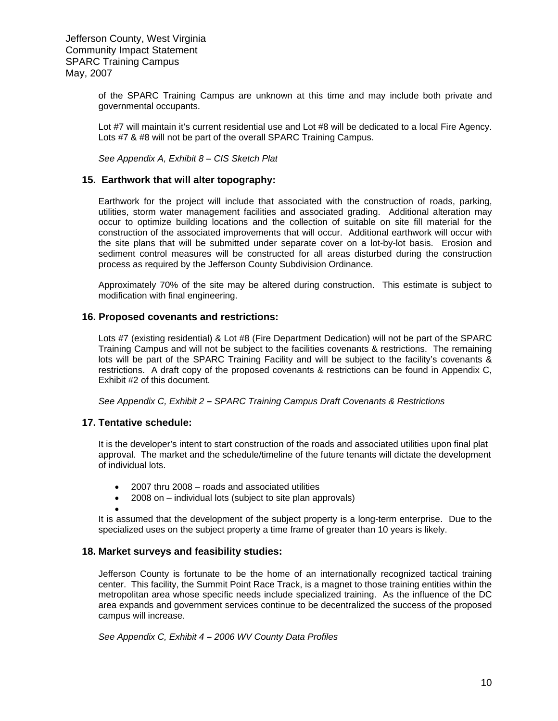of the SPARC Training Campus are unknown at this time and may include both private and governmental occupants.

Lot #7 will maintain it's current residential use and Lot #8 will be dedicated to a local Fire Agency. Lots #7 & #8 will not be part of the overall SPARC Training Campus.

*See Appendix A, Exhibit 8 – CIS Sketch Plat*

#### **15. Earthwork that will alter topography:**

Earthwork for the project will include that associated with the construction of roads, parking, utilities, storm water management facilities and associated grading. Additional alteration may occur to optimize building locations and the collection of suitable on site fill material for the construction of the associated improvements that will occur. Additional earthwork will occur with the site plans that will be submitted under separate cover on a lot-by-lot basis. Erosion and sediment control measures will be constructed for all areas disturbed during the construction process as required by the Jefferson County Subdivision Ordinance.

Approximately 70% of the site may be altered during construction. This estimate is subject to modification with final engineering.

#### **16. Proposed covenants and restrictions:**

Lots #7 (existing residential) & Lot #8 (Fire Department Dedication) will not be part of the SPARC Training Campus and will not be subject to the facilities covenants & restrictions. The remaining lots will be part of the SPARC Training Facility and will be subject to the facility's covenants & restrictions. A draft copy of the proposed covenants & restrictions can be found in Appendix C, Exhibit #2 of this document.

*See Appendix C, Exhibit 2 – SPARC Training Campus Draft Covenants & Restrictions* 

#### **17. Tentative schedule:**

•

It is the developer's intent to start construction of the roads and associated utilities upon final plat approval. The market and the schedule/timeline of the future tenants will dictate the development of individual lots.

- 2007 thru 2008 roads and associated utilities
- 2008 on individual lots (subject to site plan approvals)

It is assumed that the development of the subject property is a long-term enterprise. Due to the specialized uses on the subject property a time frame of greater than 10 years is likely.

#### **18. Market surveys and feasibility studies:**

Jefferson County is fortunate to be the home of an internationally recognized tactical training center. This facility, the Summit Point Race Track, is a magnet to those training entities within the metropolitan area whose specific needs include specialized training. As the influence of the DC area expands and government services continue to be decentralized the success of the proposed campus will increase.

*See Appendix C, Exhibit 4 – 2006 WV County Data Profiles*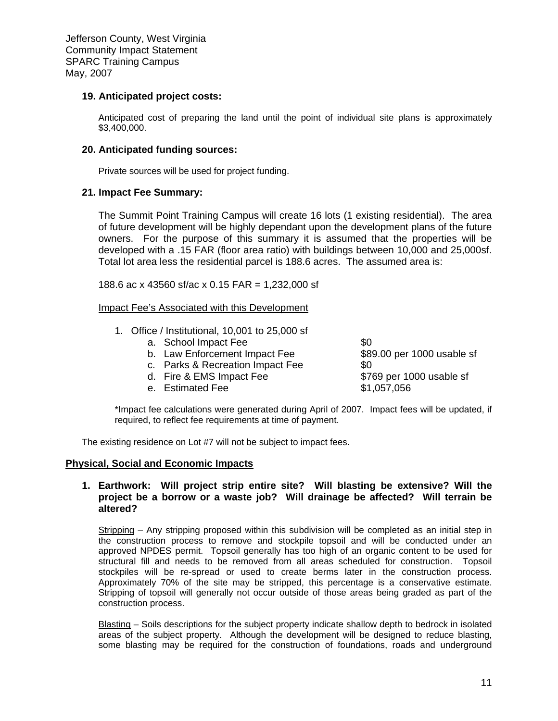#### **19. Anticipated project costs:**

Anticipated cost of preparing the land until the point of individual site plans is approximately \$3,400,000.

#### **20. Anticipated funding sources:**

Private sources will be used for project funding.

#### **21. Impact Fee Summary:**

The Summit Point Training Campus will create 16 lots (1 existing residential). The area of future development will be highly dependant upon the development plans of the future owners. For the purpose of this summary it is assumed that the properties will be developed with a .15 FAR (floor area ratio) with buildings between 10,000 and 25,000sf. Total lot area less the residential parcel is 188.6 acres. The assumed area is:

188.6 ac x 43560 sf/ac x 0.15 FAR = 1,232,000 sf

#### Impact Fee's Associated with this Development

- 1. Office / Institutional, 10,001 to 25,000 sf
	- a. School Impact Fee  $$0$
	- b. Law Enforcement Impact Fee \$89.00 per 1000 usable sf
	- c. Parks & Recreation Impact Fee  $\$0$
	- d. Fire & EMS Impact Fee \$769 per 1000 usable sf
	- e. Estimated Fee  $$1,057,056$

 \*Impact fee calculations were generated during April of 2007. Impact fees will be updated, if required, to reflect fee requirements at time of payment.

The existing residence on Lot #7 will not be subject to impact fees.

#### **Physical, Social and Economic Impacts**

#### **1. Earthwork: Will project strip entire site? Will blasting be extensive? Will the project be a borrow or a waste job? Will drainage be affected? Will terrain be altered?**

Stripping – Any stripping proposed within this subdivision will be completed as an initial step in the construction process to remove and stockpile topsoil and will be conducted under an approved NPDES permit. Topsoil generally has too high of an organic content to be used for structural fill and needs to be removed from all areas scheduled for construction. Topsoil stockpiles will be re-spread or used to create berms later in the construction process. Approximately 70% of the site may be stripped, this percentage is a conservative estimate. Stripping of topsoil will generally not occur outside of those areas being graded as part of the construction process.

Blasting – Soils descriptions for the subject property indicate shallow depth to bedrock in isolated areas of the subject property. Although the development will be designed to reduce blasting, some blasting may be required for the construction of foundations, roads and underground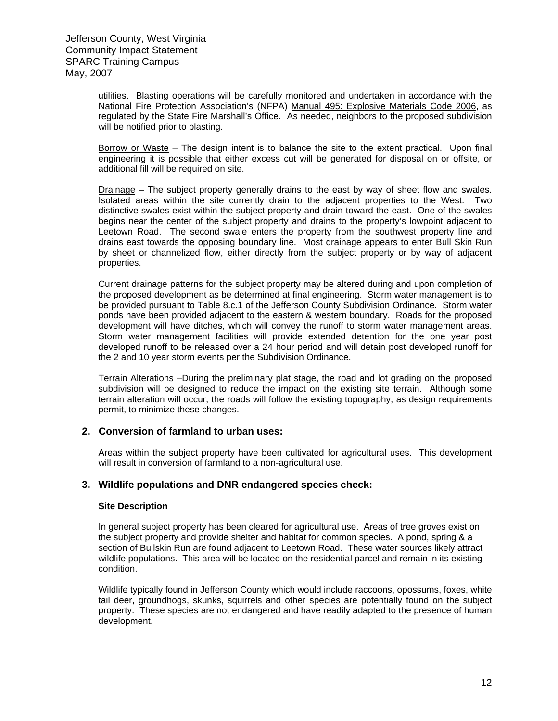utilities. Blasting operations will be carefully monitored and undertaken in accordance with the National Fire Protection Association's (NFPA) Manual 495: Explosive Materials Code 2006, as regulated by the State Fire Marshall's Office. As needed, neighbors to the proposed subdivision will be notified prior to blasting.

Borrow or Waste – The design intent is to balance the site to the extent practical. Upon final engineering it is possible that either excess cut will be generated for disposal on or offsite, or additional fill will be required on site.

Drainage – The subject property generally drains to the east by way of sheet flow and swales. Isolated areas within the site currently drain to the adjacent properties to the West. Two distinctive swales exist within the subject property and drain toward the east. One of the swales begins near the center of the subject property and drains to the property's lowpoint adjacent to Leetown Road. The second swale enters the property from the southwest property line and drains east towards the opposing boundary line. Most drainage appears to enter Bull Skin Run by sheet or channelized flow, either directly from the subject property or by way of adjacent properties.

Current drainage patterns for the subject property may be altered during and upon completion of the proposed development as be determined at final engineering. Storm water management is to be provided pursuant to Table 8.c.1 of the Jefferson County Subdivision Ordinance. Storm water ponds have been provided adjacent to the eastern & western boundary. Roads for the proposed development will have ditches, which will convey the runoff to storm water management areas. Storm water management facilities will provide extended detention for the one year post developed runoff to be released over a 24 hour period and will detain post developed runoff for the 2 and 10 year storm events per the Subdivision Ordinance.

Terrain Alterations –During the preliminary plat stage, the road and lot grading on the proposed subdivision will be designed to reduce the impact on the existing site terrain. Although some terrain alteration will occur, the roads will follow the existing topography, as design requirements permit, to minimize these changes.

#### **2. Conversion of farmland to urban uses:**

Areas within the subject property have been cultivated for agricultural uses. This development will result in conversion of farmland to a non-agricultural use.

#### **3. Wildlife populations and DNR endangered species check:**

#### **Site Description**

In general subject property has been cleared for agricultural use. Areas of tree groves exist on the subject property and provide shelter and habitat for common species. A pond, spring & a section of Bullskin Run are found adjacent to Leetown Road. These water sources likely attract wildlife populations. This area will be located on the residential parcel and remain in its existing condition.

Wildlife typically found in Jefferson County which would include raccoons, opossums, foxes, white tail deer, groundhogs, skunks, squirrels and other species are potentially found on the subject property. These species are not endangered and have readily adapted to the presence of human development.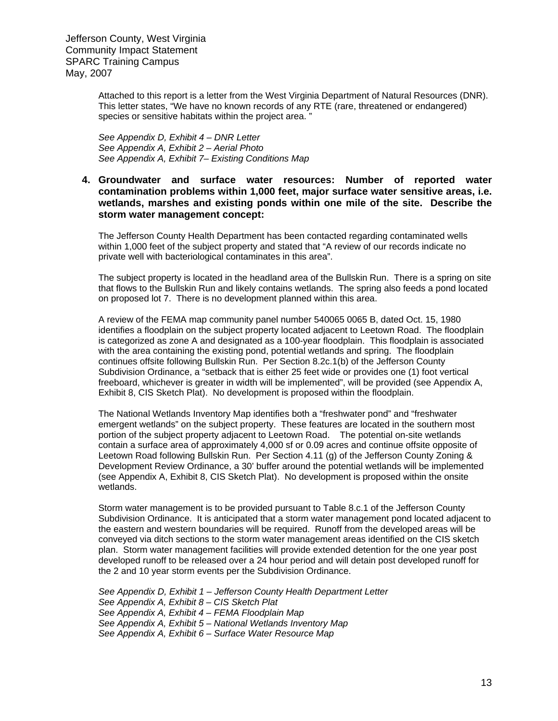Attached to this report is a letter from the West Virginia Department of Natural Resources (DNR). This letter states, "We have no known records of any RTE (rare, threatened or endangered) species or sensitive habitats within the project area. "

*See Appendix D, Exhibit 4 – DNR Letter See Appendix A, Exhibit 2 – Aerial Photo See Appendix A, Exhibit 7– Existing Conditions Map* 

#### **4. Groundwater and surface water resources: Number of reported water contamination problems within 1,000 feet, major surface water sensitive areas, i.e. wetlands, marshes and existing ponds within one mile of the site. Describe the storm water management concept:**

The Jefferson County Health Department has been contacted regarding contaminated wells within 1,000 feet of the subject property and stated that "A review of our records indicate no private well with bacteriological contaminates in this area".

The subject property is located in the headland area of the Bullskin Run. There is a spring on site that flows to the Bullskin Run and likely contains wetlands. The spring also feeds a pond located on proposed lot 7. There is no development planned within this area.

A review of the FEMA map community panel number 540065 0065 B, dated Oct. 15, 1980 identifies a floodplain on the subject property located adjacent to Leetown Road. The floodplain is categorized as zone A and designated as a 100-year floodplain. This floodplain is associated with the area containing the existing pond, potential wetlands and spring. The floodplain continues offsite following Bullskin Run. Per Section 8.2c.1(b) of the Jefferson County Subdivision Ordinance, a "setback that is either 25 feet wide or provides one (1) foot vertical freeboard, whichever is greater in width will be implemented", will be provided (see Appendix A, Exhibit 8, CIS Sketch Plat). No development is proposed within the floodplain.

The National Wetlands Inventory Map identifies both a "freshwater pond" and "freshwater emergent wetlands" on the subject property. These features are located in the southern most portion of the subject property adjacent to Leetown Road. The potential on-site wetlands contain a surface area of approximately 4,000 sf or 0.09 acres and continue offsite opposite of Leetown Road following Bullskin Run. Per Section 4.11 (g) of the Jefferson County Zoning & Development Review Ordinance, a 30' buffer around the potential wetlands will be implemented (see Appendix A, Exhibit 8, CIS Sketch Plat). No development is proposed within the onsite wetlands.

Storm water management is to be provided pursuant to Table 8.c.1 of the Jefferson County Subdivision Ordinance. It is anticipated that a storm water management pond located adjacent to the eastern and western boundaries will be required. Runoff from the developed areas will be conveyed via ditch sections to the storm water management areas identified on the CIS sketch plan. Storm water management facilities will provide extended detention for the one year post developed runoff to be released over a 24 hour period and will detain post developed runoff for the 2 and 10 year storm events per the Subdivision Ordinance.

*See Appendix D, Exhibit 1 – Jefferson County Health Department Letter See Appendix A, Exhibit 8 – CIS Sketch Plat See Appendix A, Exhibit 4 – FEMA Floodplain Map See Appendix A, Exhibit 5 – National Wetlands Inventory Map See Appendix A, Exhibit 6 – Surface Water Resource Map*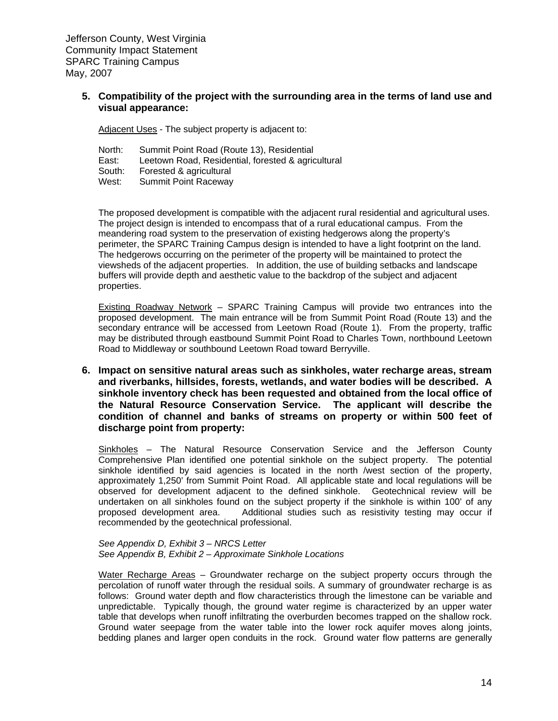> **5. Compatibility of the project with the surrounding area in the terms of land use and visual appearance:**

Adjacent Uses - The subject property is adjacent to:

| North:      | Summit Point Road (Route 13), Residential          |
|-------------|----------------------------------------------------|
| East:       | Leetown Road, Residential, forested & agricultural |
| South:      | Forested & agricultural                            |
| $M_{\odot}$ | Cummit Doint Dogourou                              |

West: Summit Point Raceway

The proposed development is compatible with the adjacent rural residential and agricultural uses. The project design is intended to encompass that of a rural educational campus. From the meandering road system to the preservation of existing hedgerows along the property's perimeter, the SPARC Training Campus design is intended to have a light footprint on the land. The hedgerows occurring on the perimeter of the property will be maintained to protect the viewsheds of the adjacent properties. In addition, the use of building setbacks and landscape buffers will provide depth and aesthetic value to the backdrop of the subject and adjacent properties.

Existing Roadway Network – SPARC Training Campus will provide two entrances into the proposed development. The main entrance will be from Summit Point Road (Route 13) and the secondary entrance will be accessed from Leetown Road (Route 1). From the property, traffic may be distributed through eastbound Summit Point Road to Charles Town, northbound Leetown Road to Middleway or southbound Leetown Road toward Berryville.

**6. Impact on sensitive natural areas such as sinkholes, water recharge areas, stream and riverbanks, hillsides, forests, wetlands, and water bodies will be described. A sinkhole inventory check has been requested and obtained from the local office of the Natural Resource Conservation Service. The applicant will describe the condition of channel and banks of streams on property or within 500 feet of discharge point from property:** 

Sinkholes – The Natural Resource Conservation Service and the Jefferson County Comprehensive Plan identified one potential sinkhole on the subject property. The potential sinkhole identified by said agencies is located in the north /west section of the property, approximately 1,250' from Summit Point Road. All applicable state and local regulations will be observed for development adjacent to the defined sinkhole. Geotechnical review will be undertaken on all sinkholes found on the subject property if the sinkhole is within 100' of any proposed development area. Additional studies such as resistivity testing may occur if recommended by the geotechnical professional.

*See Appendix D, Exhibit 3 – NRCS Letter See Appendix B, Exhibit 2 – Approximate Sinkhole Locations*

Water Recharge Areas – Groundwater recharge on the subject property occurs through the percolation of runoff water through the residual soils. A summary of groundwater recharge is as follows: Ground water depth and flow characteristics through the limestone can be variable and unpredictable. Typically though, the ground water regime is characterized by an upper water table that develops when runoff infiltrating the overburden becomes trapped on the shallow rock. Ground water seepage from the water table into the lower rock aquifer moves along joints, bedding planes and larger open conduits in the rock. Ground water flow patterns are generally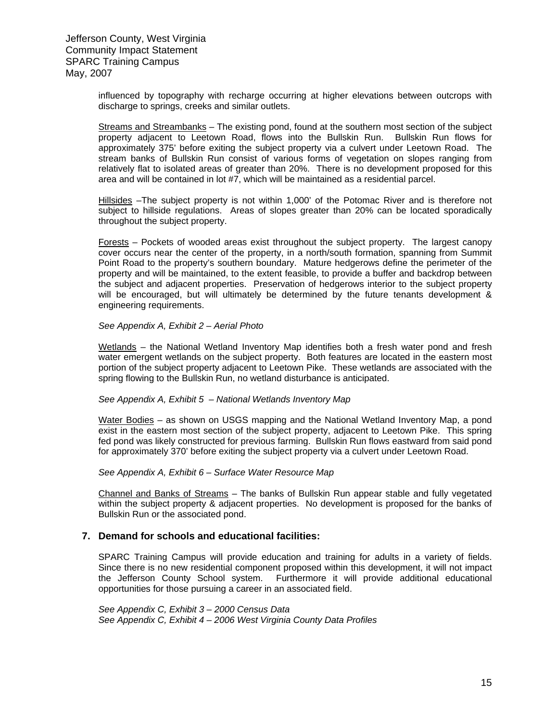influenced by topography with recharge occurring at higher elevations between outcrops with discharge to springs, creeks and similar outlets.

Streams and Streambanks – The existing pond, found at the southern most section of the subject property adjacent to Leetown Road, flows into the Bullskin Run. Bullskin Run flows for approximately 375' before exiting the subject property via a culvert under Leetown Road. The stream banks of Bullskin Run consist of various forms of vegetation on slopes ranging from relatively flat to isolated areas of greater than 20%. There is no development proposed for this area and will be contained in lot #7, which will be maintained as a residential parcel.

Hillsides -The subject property is not within 1,000' of the Potomac River and is therefore not subject to hillside regulations. Areas of slopes greater than 20% can be located sporadically throughout the subject property.

Forests – Pockets of wooded areas exist throughout the subject property. The largest canopy cover occurs near the center of the property, in a north/south formation, spanning from Summit Point Road to the property's southern boundary. Mature hedgerows define the perimeter of the property and will be maintained, to the extent feasible, to provide a buffer and backdrop between the subject and adjacent properties. Preservation of hedgerows interior to the subject property will be encouraged, but will ultimately be determined by the future tenants development & engineering requirements.

#### *See Appendix A, Exhibit 2 – Aerial Photo*

Wetlands – the National Wetland Inventory Map identifies both a fresh water pond and fresh water emergent wetlands on the subject property. Both features are located in the eastern most portion of the subject property adjacent to Leetown Pike. These wetlands are associated with the spring flowing to the Bullskin Run, no wetland disturbance is anticipated.

#### *See Appendix A, Exhibit 5 – National Wetlands Inventory Map*

Water Bodies – as shown on USGS mapping and the National Wetland Inventory Map, a pond exist in the eastern most section of the subject property, adjacent to Leetown Pike. This spring fed pond was likely constructed for previous farming. Bullskin Run flows eastward from said pond for approximately 370' before exiting the subject property via a culvert under Leetown Road.

#### *See Appendix A, Exhibit 6 – Surface Water Resource Map*

Channel and Banks of Streams – The banks of Bullskin Run appear stable and fully vegetated within the subject property & adjacent properties. No development is proposed for the banks of Bullskin Run or the associated pond.

#### **7. Demand for schools and educational facilities:**

SPARC Training Campus will provide education and training for adults in a variety of fields. Since there is no new residential component proposed within this development, it will not impact the Jefferson County School system. Furthermore it will provide additional educational opportunities for those pursuing a career in an associated field.

*See Appendix C, Exhibit 3 – 2000 Census Data See Appendix C, Exhibit 4 – 2006 West Virginia County Data Profiles*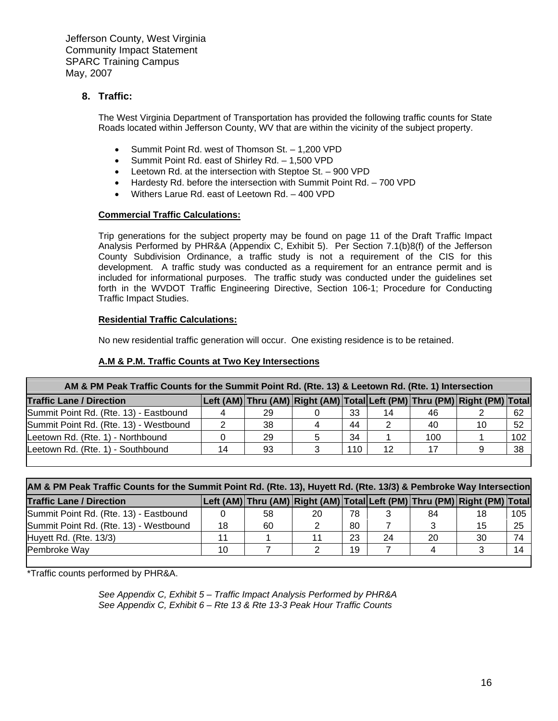#### **8. Traffic:**

The West Virginia Department of Transportation has provided the following traffic counts for State Roads located within Jefferson County, WV that are within the vicinity of the subject property.

- Summit Point Rd. west of Thomson St. 1,200 VPD
- Summit Point Rd. east of Shirley Rd. 1,500 VPD
- Leetown Rd. at the intersection with Steptoe St. 900 VPD
- Hardesty Rd. before the intersection with Summit Point Rd. 700 VPD
- Withers Larue Rd. east of Leetown Rd. 400 VPD

#### **Commercial Traffic Calculations:**

Trip generations for the subject property may be found on page 11 of the Draft Traffic Impact Analysis Performed by PHR&A (Appendix C, Exhibit 5). Per Section 7.1(b)8(f) of the Jefferson County Subdivision Ordinance, a traffic study is not a requirement of the CIS for this development. A traffic study was conducted as a requirement for an entrance permit and is included for informational purposes. The traffic study was conducted under the guidelines set forth in the WVDOT Traffic Engineering Directive, Section 106-1; Procedure for Conducting Traffic Impact Studies.

#### **Residential Traffic Calculations:**

No new residential traffic generation will occur. One existing residence is to be retained.

#### **A.M & P.M. Traffic Counts at Two Key Intersections**

| AM & PM Peak Traffic Counts for the Summit Point Rd. (Rte. 13) & Leetown Rd. (Rte. 1) Intersection |    |    |  |     |    |     |                                                                           |     |
|----------------------------------------------------------------------------------------------------|----|----|--|-----|----|-----|---------------------------------------------------------------------------|-----|
| <b>Traffic Lane / Direction</b>                                                                    |    |    |  |     |    |     | Left (AM) Thru (AM) Right (AM) Total Left (PM) Thru (PM) Right (PM) Total |     |
| Summit Point Rd. (Rte. 13) - Eastbound                                                             |    | 29 |  | 33  | 14 | 46  |                                                                           | -62 |
| Summit Point Rd. (Rte. 13) - Westbound                                                             |    | 38 |  | 44  |    | 40  | 10                                                                        | -52 |
| Leetown Rd. (Rte. 1) - Northbound                                                                  |    | 29 |  | 34  |    | 100 |                                                                           | 102 |
| Leetown Rd. (Rte. 1) - Southbound                                                                  | 14 | 93 |  | 110 | 12 |     |                                                                           | -38 |
|                                                                                                    |    |    |  |     |    |     |                                                                           |     |

| AM & PM Peak Traffic Counts for the Summit Point Rd. (Rte. 13), Huyett Rd. (Rte. 13/3) & Pembroke Way Intersection |    |    |    |    |    |    |                                                                           |     |
|--------------------------------------------------------------------------------------------------------------------|----|----|----|----|----|----|---------------------------------------------------------------------------|-----|
| <b>Traffic Lane / Direction</b>                                                                                    |    |    |    |    |    |    | Left (AM) Thru (AM) Right (AM) Total Left (PM) Thru (PM) Right (PM) Total |     |
| Summit Point Rd. (Rte. 13) - Eastbound                                                                             |    | 58 | 20 | 78 |    | 84 | 18                                                                        | 105 |
| Summit Point Rd. (Rte. 13) - Westbound                                                                             | 18 | 60 |    | 80 |    |    | 15                                                                        | -25 |
| Huyett Rd. (Rte. 13/3)                                                                                             |    |    |    | 23 | 24 | 20 | 30                                                                        | 74  |
| Pembroke Way                                                                                                       | 10 |    |    | 19 |    |    |                                                                           | 14  |
|                                                                                                                    |    |    |    |    |    |    |                                                                           |     |

\*Traffic counts performed by PHR&A.

*See Appendix C, Exhibit 5 – Traffic Impact Analysis Performed by PHR&A See Appendix C, Exhibit 6 – Rte 13 & Rte 13-3 Peak Hour Traffic Counts*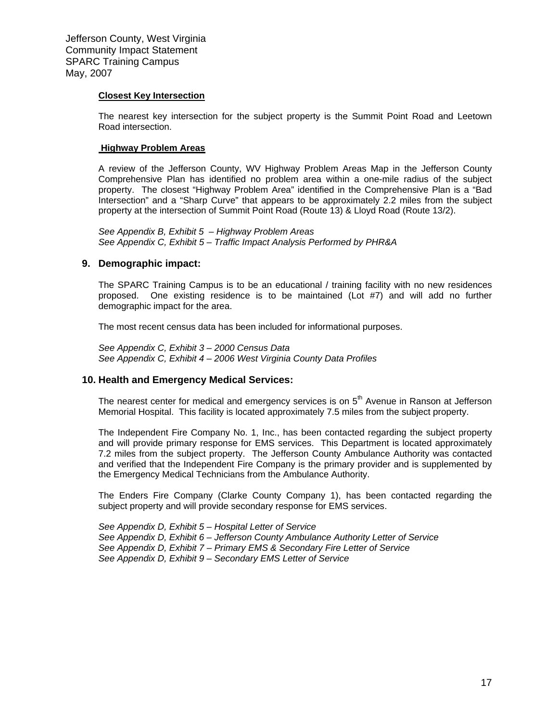#### **Closest Key Intersection**

The nearest key intersection for the subject property is the Summit Point Road and Leetown Road intersection.

#### **Highway Problem Areas**

A review of the Jefferson County, WV Highway Problem Areas Map in the Jefferson County Comprehensive Plan has identified no problem area within a one-mile radius of the subject property. The closest "Highway Problem Area" identified in the Comprehensive Plan is a "Bad Intersection" and a "Sharp Curve" that appears to be approximately 2.2 miles from the subject property at the intersection of Summit Point Road (Route 13) & Lloyd Road (Route 13/2).

*See Appendix B, Exhibit 5 – Highway Problem Areas See Appendix C, Exhibit 5 – Traffic Impact Analysis Performed by PHR&A* 

#### **9. Demographic impact:**

The SPARC Training Campus is to be an educational / training facility with no new residences proposed. One existing residence is to be maintained (Lot #7) and will add no further demographic impact for the area.

The most recent census data has been included for informational purposes.

*See Appendix C, Exhibit 3 – 2000 Census Data See Appendix C, Exhibit 4 – 2006 West Virginia County Data Profiles*

#### **10. Health and Emergency Medical Services:**

The nearest center for medical and emergency services is on 5<sup>th</sup> Avenue in Ranson at Jefferson Memorial Hospital. This facility is located approximately 7.5 miles from the subject property.

The Independent Fire Company No. 1, Inc., has been contacted regarding the subject property and will provide primary response for EMS services. This Department is located approximately 7.2 miles from the subject property. The Jefferson County Ambulance Authority was contacted and verified that the Independent Fire Company is the primary provider and is supplemented by the Emergency Medical Technicians from the Ambulance Authority.

The Enders Fire Company (Clarke County Company 1), has been contacted regarding the subject property and will provide secondary response for EMS services.

*See Appendix D, Exhibit 5 – Hospital Letter of Service See Appendix D, Exhibit 6 – Jefferson County Ambulance Authority Letter of Service See Appendix D, Exhibit 7 – Primary EMS & Secondary Fire Letter of Service See Appendix D, Exhibit 9 – Secondary EMS Letter of Service*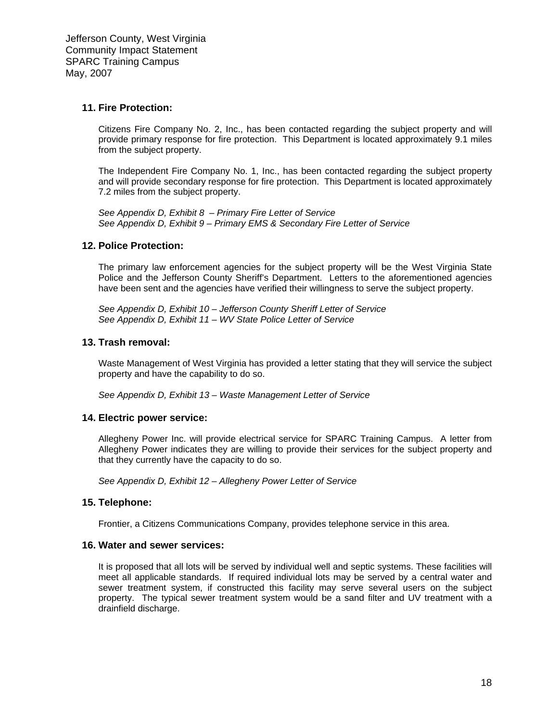#### **11. Fire Protection:**

Citizens Fire Company No. 2, Inc., has been contacted regarding the subject property and will provide primary response for fire protection. This Department is located approximately 9.1 miles from the subject property.

The Independent Fire Company No. 1, Inc., has been contacted regarding the subject property and will provide secondary response for fire protection. This Department is located approximately 7.2 miles from the subject property.

*See Appendix D, Exhibit 8 – Primary Fire Letter of Service See Appendix D, Exhibit 9 – Primary EMS & Secondary Fire Letter of Service* 

#### **12. Police Protection:**

The primary law enforcement agencies for the subject property will be the West Virginia State Police and the Jefferson County Sheriff's Department. Letters to the aforementioned agencies have been sent and the agencies have verified their willingness to serve the subject property.

*See Appendix D, Exhibit 10 – Jefferson County Sheriff Letter of Service See Appendix D, Exhibit 11 – WV State Police Letter of Service* 

#### **13. Trash removal:**

Waste Management of West Virginia has provided a letter stating that they will service the subject property and have the capability to do so.

*See Appendix D, Exhibit 13 – Waste Management Letter of Service*

#### **14. Electric power service:**

Allegheny Power Inc. will provide electrical service for SPARC Training Campus. A letter from Allegheny Power indicates they are willing to provide their services for the subject property and that they currently have the capacity to do so.

*See Appendix D, Exhibit 12 – Allegheny Power Letter of Service* 

#### **15. Telephone:**

Frontier, a Citizens Communications Company, provides telephone service in this area.

#### **16. Water and sewer services:**

It is proposed that all lots will be served by individual well and septic systems. These facilities will meet all applicable standards. If required individual lots may be served by a central water and sewer treatment system, if constructed this facility may serve several users on the subject property. The typical sewer treatment system would be a sand filter and UV treatment with a drainfield discharge.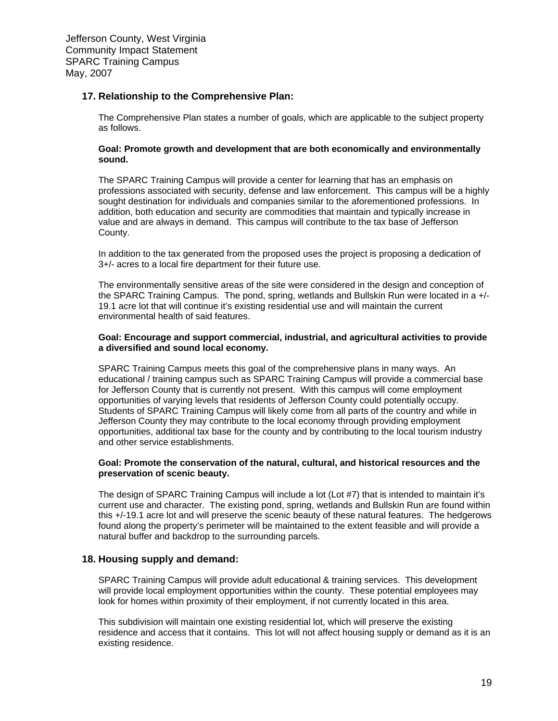#### **17. Relationship to the Comprehensive Plan:**

The Comprehensive Plan states a number of goals, which are applicable to the subject property as follows.

#### **Goal: Promote growth and development that are both economically and environmentally sound.**

The SPARC Training Campus will provide a center for learning that has an emphasis on professions associated with security, defense and law enforcement. This campus will be a highly sought destination for individuals and companies similar to the aforementioned professions. In addition, both education and security are commodities that maintain and typically increase in value and are always in demand. This campus will contribute to the tax base of Jefferson County.

In addition to the tax generated from the proposed uses the project is proposing a dedication of 3+/- acres to a local fire department for their future use.

The environmentally sensitive areas of the site were considered in the design and conception of the SPARC Training Campus. The pond, spring, wetlands and Bullskin Run were located in a +/- 19.1 acre lot that will continue it's existing residential use and will maintain the current environmental health of said features.

#### **Goal: Encourage and support commercial, industrial, and agricultural activities to provide a diversified and sound local economy.**

SPARC Training Campus meets this goal of the comprehensive plans in many ways. An educational / training campus such as SPARC Training Campus will provide a commercial base for Jefferson County that is currently not present. With this campus will come employment opportunities of varying levels that residents of Jefferson County could potentially occupy. Students of SPARC Training Campus will likely come from all parts of the country and while in Jefferson County they may contribute to the local economy through providing employment opportunities, additional tax base for the county and by contributing to the local tourism industry and other service establishments.

#### **Goal: Promote the conservation of the natural, cultural, and historical resources and the preservation of scenic beauty.**

The design of SPARC Training Campus will include a lot (Lot #7) that is intended to maintain it's current use and character. The existing pond, spring, wetlands and Bullskin Run are found within this +/-19.1 acre lot and will preserve the scenic beauty of these natural features. The hedgerows found along the property's perimeter will be maintained to the extent feasible and will provide a natural buffer and backdrop to the surrounding parcels.

#### **18. Housing supply and demand:**

SPARC Training Campus will provide adult educational & training services. This development will provide local employment opportunities within the county. These potential employees may look for homes within proximity of their employment, if not currently located in this area.

This subdivision will maintain one existing residential lot, which will preserve the existing residence and access that it contains. This lot will not affect housing supply or demand as it is an existing residence.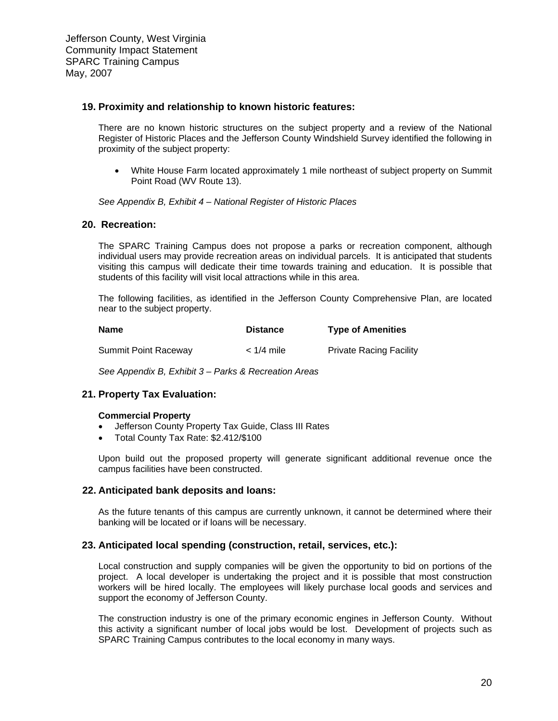#### **19. Proximity and relationship to known historic features:**

There are no known historic structures on the subject property and a review of the National Register of Historic Places and the Jefferson County Windshield Survey identified the following in proximity of the subject property:

• White House Farm located approximately 1 mile northeast of subject property on Summit Point Road (WV Route 13).

*See Appendix B, Exhibit 4 – National Register of Historic Places* 

#### **20. Recreation:**

The SPARC Training Campus does not propose a parks or recreation component, although individual users may provide recreation areas on individual parcels. It is anticipated that students visiting this campus will dedicate their time towards training and education. It is possible that students of this facility will visit local attractions while in this area.

The following facilities, as identified in the Jefferson County Comprehensive Plan, are located near to the subject property.

| <b>Name</b>                 | <b>Distance</b> | <b>Type of Amenities</b>       |
|-----------------------------|-----------------|--------------------------------|
| <b>Summit Point Raceway</b> | $<$ 1/4 mile    | <b>Private Racing Facility</b> |

*See Appendix B, Exhibit 3 – Parks & Recreation Areas*

#### **21. Property Tax Evaluation:**

#### **Commercial Property**

- Jefferson County Property Tax Guide, Class III Rates
- Total County Tax Rate: \$2.412/\$100

Upon build out the proposed property will generate significant additional revenue once the campus facilities have been constructed.

#### **22. Anticipated bank deposits and loans:**

As the future tenants of this campus are currently unknown, it cannot be determined where their banking will be located or if loans will be necessary.

#### **23. Anticipated local spending (construction, retail, services, etc.):**

Local construction and supply companies will be given the opportunity to bid on portions of the project. A local developer is undertaking the project and it is possible that most construction workers will be hired locally. The employees will likely purchase local goods and services and support the economy of Jefferson County.

The construction industry is one of the primary economic engines in Jefferson County. Without this activity a significant number of local jobs would be lost. Development of projects such as SPARC Training Campus contributes to the local economy in many ways.